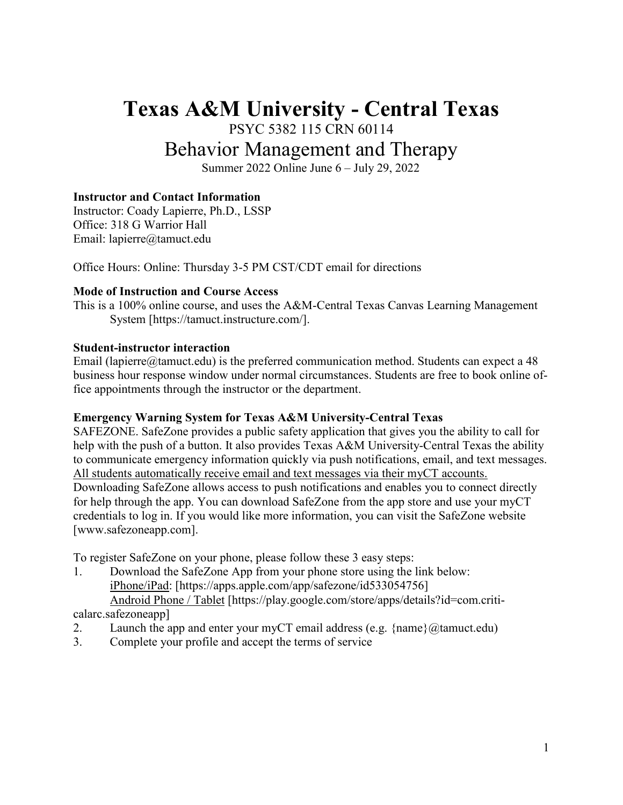# **Texas A&M University - Central Texas**

PSYC 5382 115 CRN 60114

# Behavior Management and Therapy

Summer 2022 Online June 6 – July 29, 2022

# **Instructor and Contact Information**

Instructor: Coady Lapierre, Ph.D., LSSP Office: 318 G Warrior Hall Email: lapierre@tamuct.edu

Office Hours: Online: Thursday 3-5 PM CST/CDT email for directions

#### **Mode of Instruction and Course Access**

This is a 100% online course, and uses the A&M-Central Texas Canvas Learning Management System [https://tamuct.instructure.com/].

#### **Student-instructor interaction**

Email (lapierre $@$ tamuct.edu) is the preferred communication method. Students can expect a 48 business hour response window under normal circumstances. Students are free to book online office appointments through the instructor or the department.

#### **Emergency Warning System for Texas A&M University-Central Texas**

SAFEZONE. SafeZone provides a public safety application that gives you the ability to call for help with the push of a button. It also provides Texas A&M University-Central Texas the ability to communicate emergency information quickly via push notifications, email, and text messages. All students automatically receive email and text messages via their myCT accounts.

Downloading SafeZone allows access to push notifications and enables you to connect directly for help through the app. You can download SafeZone from the app store and use your myCT credentials to log in. If you would like more information, you can visit the SafeZone website [www.safezoneapp.com].

To register SafeZone on your phone, please follow these 3 easy steps:

1. Download the SafeZone App from your phone store using the link below: [iPhone/iPad:](https://apps.apple.com/app/safezone/id533054756) [https://apps.apple.com/app/safezone/id533054756] Android [Phone / Tablet](https://play.google.com/store/apps/details?id=com.criticalarc.safezoneapp) [https://play.google.com/store/apps/details?id=com.criti-

calarc.safezoneapp]

- 2. Launch the app and enter your myCT email address (e.g.  $\{\text{name}\}\langle\omega\text{tamuct.edu}\rangle$ )
- 3. Complete your profile and accept the terms of service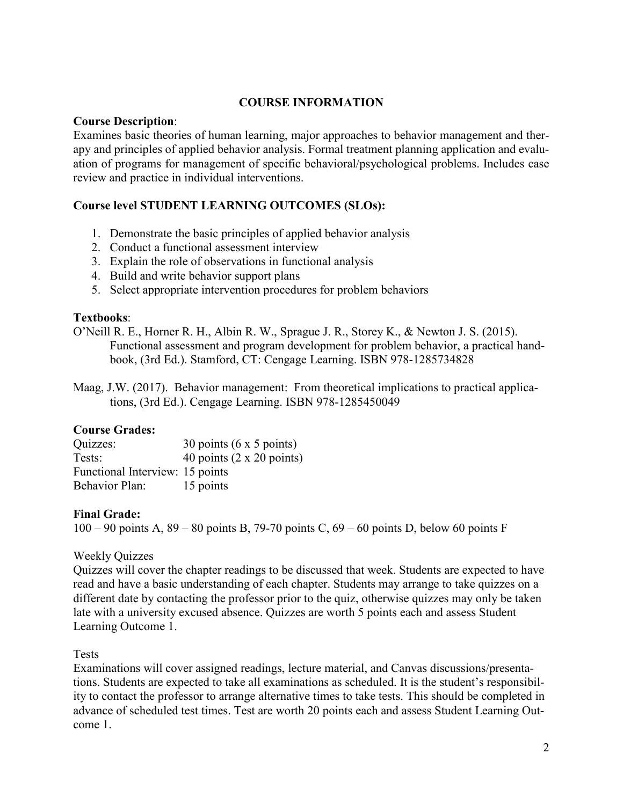# **COURSE INFORMATION**

# **Course Description**:

Examines basic theories of human learning, major approaches to behavior management and therapy and principles of applied behavior analysis. Formal treatment planning application and evaluation of programs for management of specific behavioral/psychological problems. Includes case review and practice in individual interventions.

# **Course level STUDENT LEARNING OUTCOMES (SLOs):**

- 1. Demonstrate the basic principles of applied behavior analysis
- 2. Conduct a functional assessment interview
- 3. Explain the role of observations in functional analysis
- 4. Build and write behavior support plans
- 5. Select appropriate intervention procedures for problem behaviors

# **Textbooks**:

O'Neill R. E., Horner R. H., Albin R. W., Sprague J. R., Storey K., & Newton J. S. (2015). Functional assessment and program development for problem behavior, a practical handbook, (3rd Ed.). Stamford, CT: Cengage Learning. ISBN 978-1285734828

Maag, J.W. (2017). Behavior management: From theoretical implications to practical applications, (3rd Ed.). Cengage Learning. ISBN 978-1285450049

# **Course Grades:**

| Quizzes:                        | 30 points $(6 \times 5 \text{ points})$ |
|---------------------------------|-----------------------------------------|
| Tests:                          | 40 points $(2 \times 20$ points)        |
| Functional Interview: 15 points |                                         |
| <b>Behavior Plan:</b>           | 15 points                               |

#### **Final Grade:**

100 – 90 points A, 89 – 80 points B, 79-70 points C, 69 – 60 points D, below 60 points F

# Weekly Quizzes

Quizzes will cover the chapter readings to be discussed that week. Students are expected to have read and have a basic understanding of each chapter. Students may arrange to take quizzes on a different date by contacting the professor prior to the quiz, otherwise quizzes may only be taken late with a university excused absence. Quizzes are worth 5 points each and assess Student Learning Outcome 1.

#### Tests

Examinations will cover assigned readings, lecture material, and Canvas discussions/presentations. Students are expected to take all examinations as scheduled. It is the student's responsibility to contact the professor to arrange alternative times to take tests. This should be completed in advance of scheduled test times. Test are worth 20 points each and assess Student Learning Outcome 1.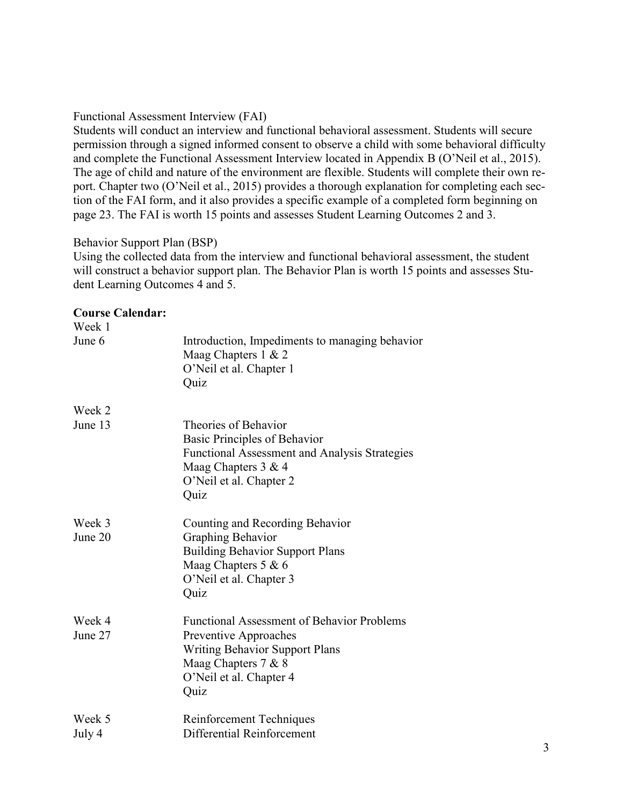# Functional Assessment Interview (FAI)

Students will conduct an interview and functional behavioral assessment. Students will secure permission through a signed informed consent to observe a child with some behavioral difficulty and complete the Functional Assessment Interview located in Appendix B (O'Neil et al., 2015). The age of child and nature of the environment are flexible. Students will complete their own report. Chapter two (O'Neil et al., 2015) provides a thorough explanation for completing each section of the FAI form, and it also provides a specific example of a completed form beginning on page 23. The FAI is worth 15 points and assesses Student Learning Outcomes 2 and 3.

# Behavior Support Plan (BSP)

Using the collected data from the interview and functional behavioral assessment, the student will construct a behavior support plan. The Behavior Plan is worth 15 points and assesses Student Learning Outcomes 4 and 5.

#### **Course Calendar:**

| Week 1            |                                                                                                                                                                               |
|-------------------|-------------------------------------------------------------------------------------------------------------------------------------------------------------------------------|
| June 6            | Introduction, Impediments to managing behavior<br>Maag Chapters $1 \& 2$<br>O'Neil et al. Chapter 1<br>Quiz                                                                   |
| Week 2            |                                                                                                                                                                               |
| June 13           | Theories of Behavior<br>Basic Principles of Behavior<br>Functional Assessment and Analysis Strategies<br>Maag Chapters 3 & 4<br>O'Neil et al. Chapter 2<br>Quiz               |
| Week 3<br>June 20 | Counting and Recording Behavior<br><b>Graphing Behavior</b><br><b>Building Behavior Support Plans</b><br>Maag Chapters 5 & 6<br>O'Neil et al. Chapter 3<br>Quiz               |
| Week 4<br>June 27 | <b>Functional Assessment of Behavior Problems</b><br>Preventive Approaches<br><b>Writing Behavior Support Plans</b><br>Maag Chapters 7 & 8<br>O'Neil et al. Chapter 4<br>Quiz |
| Week 5            | Reinforcement Techniques                                                                                                                                                      |
| July 4            | Differential Reinforcement                                                                                                                                                    |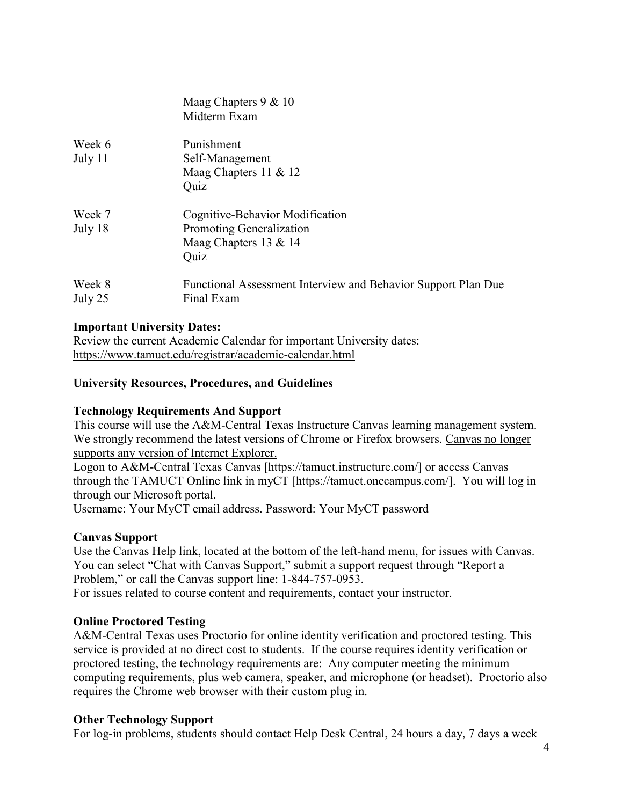|                   | Maag Chapters $9 & 10$<br>Midterm Exam                                                       |
|-------------------|----------------------------------------------------------------------------------------------|
| Week 6<br>July 11 | Punishment<br>Self-Management<br>Maag Chapters $11 \& 12$<br>Quiz                            |
| Week 7<br>July 18 | Cognitive-Behavior Modification<br>Promoting Generalization<br>Maag Chapters 13 & 14<br>Quiz |
| Week 8<br>July 25 | Functional Assessment Interview and Behavior Support Plan Due<br>Final Exam                  |

#### **Important University Dates:**

Review the current Academic Calendar for important University dates: <https://www.tamuct.edu/registrar/academic-calendar.html>

# **University Resources, Procedures, and Guidelines**

#### **Technology Requirements And Support**

This course will use the A&M-Central Texas Instructure Canvas learning management system. We strongly recommend the latest versions of Chrome or Firefox browsers. Canvas no longer supports any version of Internet Explorer.

Logon to A&M-Central Texas Canvas [https://tamuct.instructure.com/] or access Canvas through the TAMUCT Online link in myCT [https://tamuct.onecampus.com/]. You will log in through our Microsoft portal.

Username: Your MyCT email address. Password: Your MyCT password

#### **Canvas Support**

Use the Canvas Help link, located at the bottom of the left-hand menu, for issues with Canvas. You can select "Chat with Canvas Support," submit a support request through "Report a Problem," or call the Canvas support line: 1-844-757-0953.

For issues related to course content and requirements, contact your instructor.

# **Online Proctored Testing**

A&M-Central Texas uses Proctorio for online identity verification and proctored testing. This service is provided at no direct cost to students. If the course requires identity verification or proctored testing, the technology requirements are: Any computer meeting the minimum computing requirements, plus web camera, speaker, and microphone (or headset). Proctorio also requires the Chrome web browser with their custom plug in.

#### **Other Technology Support**

For log-in problems, students should contact Help Desk Central, 24 hours a day, 7 days a week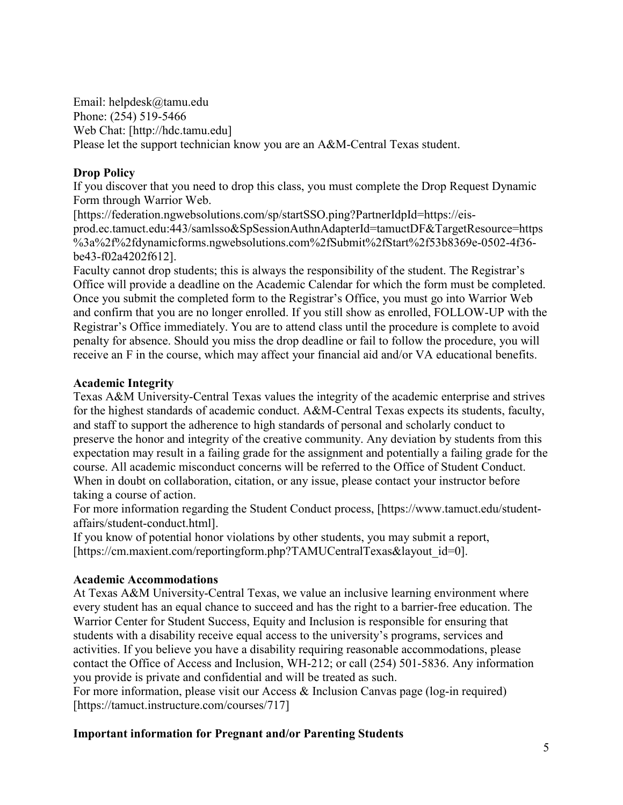Email: helpdesk@tamu.edu Phone: (254) 519-5466 Web Chat: [http://hdc.tamu.edu] Please let the support technician know you are an A&M-Central Texas student.

# **Drop Policy**

If you discover that you need to drop this class, you must complete the Drop Request Dynamic Form through Warrior Web.

[https://federation.ngwebsolutions.com/sp/startSSO.ping?PartnerIdpId=https://eisprod.ec.tamuct.edu:443/samlsso&SpSessionAuthnAdapterId=tamuctDF&TargetResource=https %3a%2f%2fdynamicforms.ngwebsolutions.com%2fSubmit%2fStart%2f53b8369e-0502-4f36 be43-f02a4202f612].

Faculty cannot drop students; this is always the responsibility of the student. The Registrar's Office will provide a deadline on the Academic Calendar for which the form must be completed. Once you submit the completed form to the Registrar's Office, you must go into Warrior Web and confirm that you are no longer enrolled. If you still show as enrolled, FOLLOW-UP with the Registrar's Office immediately. You are to attend class until the procedure is complete to avoid penalty for absence. Should you miss the drop deadline or fail to follow the procedure, you will receive an F in the course, which may affect your financial aid and/or VA educational benefits.

# **Academic Integrity**

Texas A&M University-Central Texas values the integrity of the academic enterprise and strives for the highest standards of academic conduct. A&M-Central Texas expects its students, faculty, and staff to support the adherence to high standards of personal and scholarly conduct to preserve the honor and integrity of the creative community. Any deviation by students from this expectation may result in a failing grade for the assignment and potentially a failing grade for the course. All academic misconduct concerns will be referred to the Office of Student Conduct. When in doubt on collaboration, citation, or any issue, please contact your instructor before taking a course of action.

For more information regarding the Student Conduct process, [https://www.tamuct.edu/studentaffairs/student-conduct.html].

If you know of potential honor violations by other students, you may submit a report, [https://cm.maxient.com/reportingform.php?TAMUCentralTexas&layout\_id=0].

# **Academic Accommodations**

At Texas A&M University-Central Texas, we value an inclusive learning environment where every student has an equal chance to succeed and has the right to a barrier-free education. The Warrior Center for Student Success, Equity and Inclusion is responsible for ensuring that students with a disability receive equal access to the university's programs, services and activities. If you believe you have a disability requiring reasonable accommodations, please contact the Office of Access and Inclusion, WH-212; or call (254) 501-5836. Any information you provide is private and confidential and will be treated as such.

For more information, please visit our Access & Inclusion Canvas page (log-in required) [https://tamuct.instructure.com/courses/717]

# **Important information for Pregnant and/or Parenting Students**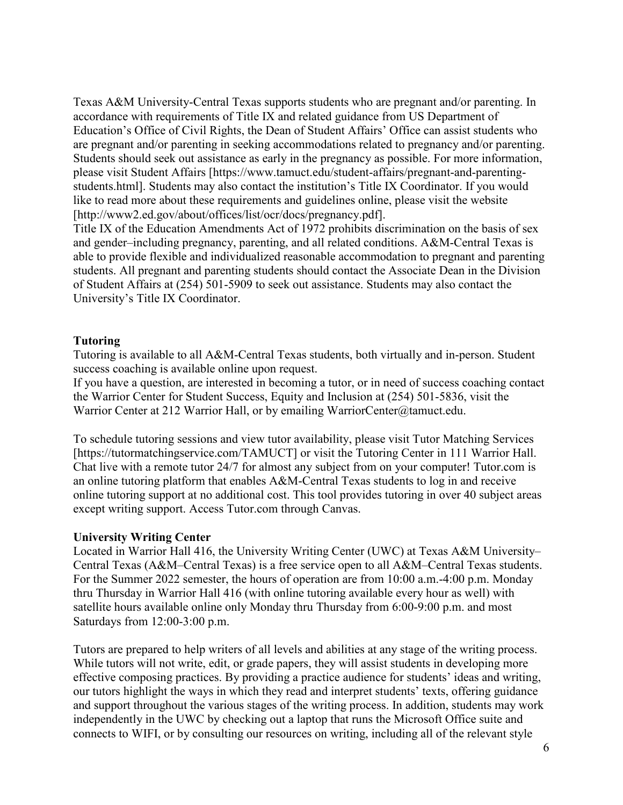Texas A&M University-Central Texas supports students who are pregnant and/or parenting. In accordance with requirements of Title IX and related guidance from US Department of Education's Office of Civil Rights, the Dean of Student Affairs' Office can assist students who are pregnant and/or parenting in seeking accommodations related to pregnancy and/or parenting. Students should seek out assistance as early in the pregnancy as possible. For more information, please visit Student Affairs [https://www.tamuct.edu/student-affairs/pregnant-and-parentingstudents.html]. Students may also contact the institution's Title IX Coordinator. If you would like to read more about these requirements and guidelines online, please visit the website [http://www2.ed.gov/about/offices/list/ocr/docs/pregnancy.pdf].

Title IX of the Education Amendments Act of 1972 prohibits discrimination on the basis of sex and gender–including pregnancy, parenting, and all related conditions. A&M-Central Texas is able to provide flexible and individualized reasonable accommodation to pregnant and parenting students. All pregnant and parenting students should contact the Associate Dean in the Division of Student Affairs at (254) 501-5909 to seek out assistance. Students may also contact the University's Title IX Coordinator.

#### **Tutoring**

Tutoring is available to all A&M-Central Texas students, both virtually and in-person. Student success coaching is available online upon request.

If you have a question, are interested in becoming a tutor, or in need of success coaching contact the Warrior Center for Student Success, Equity and Inclusion at (254) 501-5836, visit the Warrior Center at 212 Warrior Hall, or by emailing WarriorCenter@tamuct.edu.

To schedule tutoring sessions and view tutor availability, please visit Tutor Matching Services [https://tutormatchingservice.com/TAMUCT] or visit the Tutoring Center in 111 Warrior Hall. Chat live with a remote tutor 24/7 for almost any subject from on your computer! Tutor.com is an online tutoring platform that enables A&M-Central Texas students to log in and receive online tutoring support at no additional cost. This tool provides tutoring in over 40 subject areas except writing support. Access Tutor.com through Canvas.

#### **University Writing Center**

Located in Warrior Hall 416, the University Writing Center (UWC) at Texas A&M University– Central Texas (A&M–Central Texas) is a free service open to all A&M–Central Texas students. For the Summer 2022 semester, the hours of operation are from 10:00 a.m.-4:00 p.m. Monday thru Thursday in Warrior Hall 416 (with online tutoring available every hour as well) with satellite hours available online only Monday thru Thursday from 6:00-9:00 p.m. and most Saturdays from 12:00-3:00 p.m.

Tutors are prepared to help writers of all levels and abilities at any stage of the writing process. While tutors will not write, edit, or grade papers, they will assist students in developing more effective composing practices. By providing a practice audience for students' ideas and writing, our tutors highlight the ways in which they read and interpret students' texts, offering guidance and support throughout the various stages of the writing process. In addition, students may work independently in the UWC by checking out a laptop that runs the Microsoft Office suite and connects to WIFI, or by consulting our resources on writing, including all of the relevant style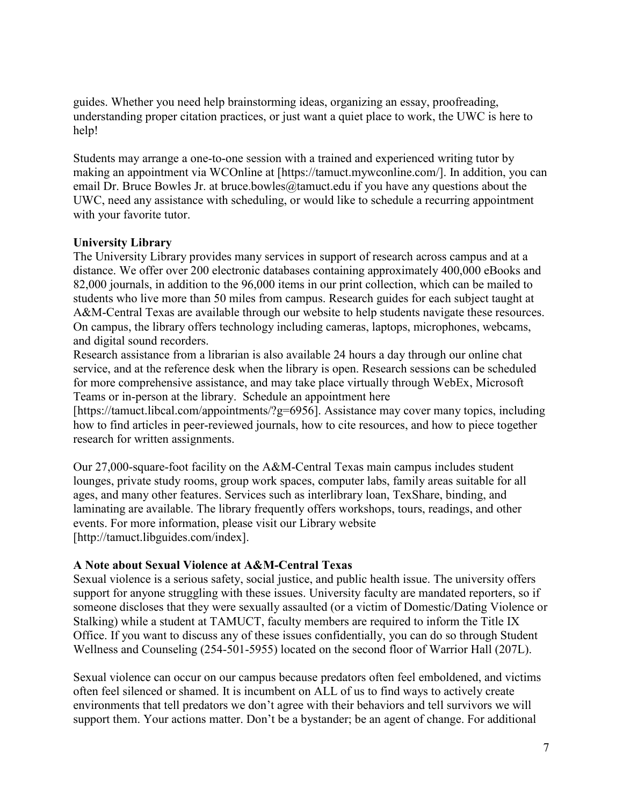guides. Whether you need help brainstorming ideas, organizing an essay, proofreading, understanding proper citation practices, or just want a quiet place to work, the UWC is here to help!

Students may arrange a one-to-one session with a trained and experienced writing tutor by making an appointment via WCOnline at [https://tamuct.mywconline.com/]. In addition, you can email Dr. Bruce Bowles Jr. at bruce.bowles  $@$ tamuct.edu if you have any questions about the UWC, need any assistance with scheduling, or would like to schedule a recurring appointment with your favorite tutor.

# **University Library**

The University Library provides many services in support of research across campus and at a distance. We offer over 200 electronic databases containing approximately 400,000 eBooks and 82,000 journals, in addition to the 96,000 items in our print collection, which can be mailed to students who live more than 50 miles from campus. Research guides for each subject taught at A&M-Central Texas are available through our website to help students navigate these resources. On campus, the library offers technology including cameras, laptops, microphones, webcams, and digital sound recorders.

Research assistance from a librarian is also available 24 hours a day through our online chat service, and at the reference desk when the library is open. Research sessions can be scheduled for more comprehensive assistance, and may take place virtually through WebEx, Microsoft Teams or in-person at the library. Schedule an appointment here

[https://tamuct.libcal.com/appointments/?g=6956]. Assistance may cover many topics, including how to find articles in peer-reviewed journals, how to cite resources, and how to piece together research for written assignments.

Our 27,000-square-foot facility on the A&M-Central Texas main campus includes student lounges, private study rooms, group work spaces, computer labs, family areas suitable for all ages, and many other features. Services such as interlibrary loan, TexShare, binding, and laminating are available. The library frequently offers workshops, tours, readings, and other events. For more information, please visit our Library website [http://tamuct.libguides.com/index].

# **A Note about Sexual Violence at A&M-Central Texas**

Sexual violence is a serious safety, social justice, and public health issue. The university offers support for anyone struggling with these issues. University faculty are mandated reporters, so if someone discloses that they were sexually assaulted (or a victim of Domestic/Dating Violence or Stalking) while a student at TAMUCT, faculty members are required to inform the Title IX Office. If you want to discuss any of these issues confidentially, you can do so through Student Wellness and Counseling (254-501-5955) located on the second floor of Warrior Hall (207L).

Sexual violence can occur on our campus because predators often feel emboldened, and victims often feel silenced or shamed. It is incumbent on ALL of us to find ways to actively create environments that tell predators we don't agree with their behaviors and tell survivors we will support them. Your actions matter. Don't be a bystander; be an agent of change. For additional